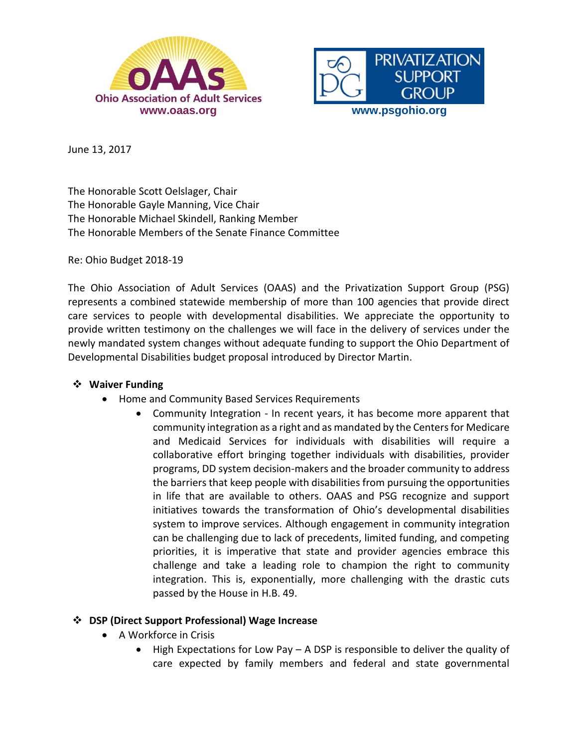



June 13, 2017

The Honorable Scott Oelslager, Chair The Honorable Gayle Manning, Vice Chair The Honorable Michael Skindell, Ranking Member The Honorable Members of the Senate Finance Committee

Re: Ohio Budget 2018-19

The Ohio Association of Adult Services (OAAS) and the Privatization Support Group (PSG) represents a combined statewide membership of more than 100 agencies that provide direct care services to people with developmental disabilities. We appreciate the opportunity to provide written testimony on the challenges we will face in the delivery of services under the newly mandated system changes without adequate funding to support the Ohio Department of Developmental Disabilities budget proposal introduced by Director Martin.

## **Waiver Funding**

- Home and Community Based Services Requirements
	- Community Integration In recent years, it has become more apparent that community integration as a right and as mandated by the Centers for Medicare and Medicaid Services for individuals with disabilities will require a collaborative effort bringing together individuals with disabilities, provider programs, DD system decision-makers and the broader community to address the barriers that keep people with disabilities from pursuing the opportunities in life that are available to others. OAAS and PSG recognize and support initiatives towards the transformation of Ohio's developmental disabilities system to improve services. Although engagement in community integration can be challenging due to lack of precedents, limited funding, and competing priorities, it is imperative that state and provider agencies embrace this challenge and take a leading role to champion the right to community integration. This is, exponentially, more challenging with the drastic cuts passed by the House in H.B. 49.

## **DSP (Direct Support Professional) Wage Increase**

- A Workforce in Crisis
	- $\bullet$  High Expectations for Low Pay A DSP is responsible to deliver the quality of care expected by family members and federal and state governmental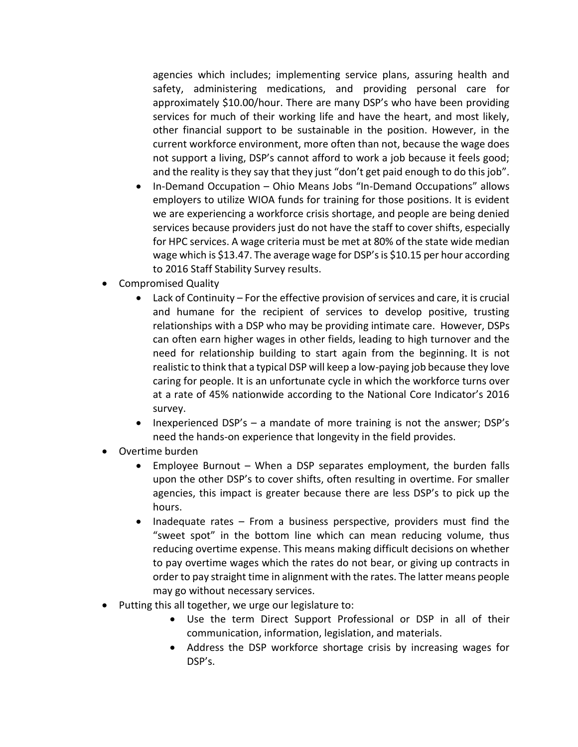agencies which includes; implementing service plans, assuring health and safety, administering medications, and providing personal care for approximately \$10.00/hour. There are many DSP's who have been providing services for much of their working life and have the heart, and most likely, other financial support to be sustainable in the position. However, in the current workforce environment, more often than not, because the wage does not support a living, DSP's cannot afford to work a job because it feels good; and the reality is they say that they just "don't get paid enough to do this job".

- In-Demand Occupation Ohio Means Jobs "In-Demand Occupations" allows employers to utilize WIOA funds for training for those positions. It is evident we are experiencing a workforce crisis shortage, and people are being denied services because providers just do not have the staff to cover shifts, especially for HPC services. A wage criteria must be met at 80% of the state wide median wage which is \$13.47. The average wage for DSP's is \$10.15 per hour according to 2016 Staff Stability Survey results.
- Compromised Quality
	- Lack of Continuity For the effective provision of services and care, it is crucial and humane for the recipient of services to develop positive, trusting relationships with a DSP who may be providing intimate care. However, DSPs can often earn higher wages in other fields, leading to high turnover and the need for relationship building to start again from the beginning. It is not realistic to think that a typical DSP will keep a low-paying job because they love caring for people. It is an unfortunate cycle in which the workforce turns over at a rate of 45% nationwide according to the National Core Indicator's 2016 survey.
	- Inexperienced DSP's a mandate of more training is not the answer; DSP's need the hands-on experience that longevity in the field provides.
- Overtime burden
	- Employee Burnout When a DSP separates employment, the burden falls upon the other DSP's to cover shifts, often resulting in overtime. For smaller agencies, this impact is greater because there are less DSP's to pick up the hours.
	- Inadequate rates From a business perspective, providers must find the "sweet spot" in the bottom line which can mean reducing volume, thus reducing overtime expense. This means making difficult decisions on whether to pay overtime wages which the rates do not bear, or giving up contracts in order to pay straight time in alignment with the rates. The latter means people may go without necessary services.
- Putting this all together, we urge our legislature to:
	- Use the term Direct Support Professional or DSP in all of their communication, information, legislation, and materials.
	- Address the DSP workforce shortage crisis by increasing wages for DSP's.